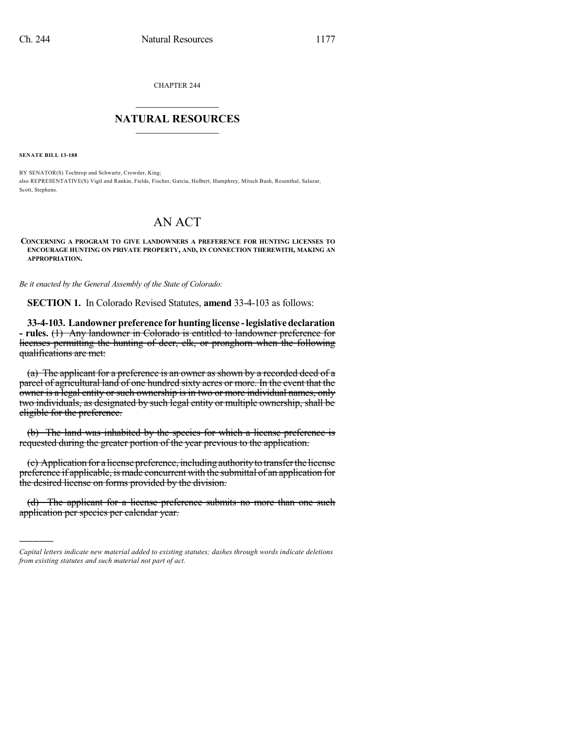CHAPTER 244

## $\overline{\phantom{a}}$  . The set of the set of the set of the set of the set of the set of the set of the set of the set of the set of the set of the set of the set of the set of the set of the set of the set of the set of the set o **NATURAL RESOURCES**  $\frac{1}{\sqrt{2}}$  , where  $\frac{1}{\sqrt{2}}$  ,  $\frac{1}{\sqrt{2}}$  ,  $\frac{1}{\sqrt{2}}$

**SENATE BILL 13-188**

)))))

BY SENATOR(S) Tochtrop and Schwartz, Crowder, King; also REPRESENTATIVE(S) Vigil and Rankin, Fields, Fischer, Garcia, Holbert, Humphrey, Mitsch Bush, Rosenthal, Salazar, Scott, Stephens.

## AN ACT

**CONCERNING A PROGRAM TO GIVE LANDOWNERS A PREFERENCE FOR HUNTING LICENSES TO ENCOURAGE HUNTING ON PRIVATE PROPERTY, AND, IN CONNECTION THEREWITH, MAKING AN APPROPRIATION.**

*Be it enacted by the General Assembly of the State of Colorado:*

**SECTION 1.** In Colorado Revised Statutes, **amend** 33-4-103 as follows:

**33-4-103. Landownerpreference forhunting license -legislativedeclaration - rules.** (1) Any landowner in Colorado is entitled to landowner preference for licenses permitting the hunting of deer, elk, or pronghorn when the following qualifications are met:

(a) The applicant for a preference is an owner as shown by a recorded deed of a parcel of agricultural land of one hundred sixty acres or more. In the event that the owner is a legal entity or such ownership is in two or more individual names, only two individuals, as designated by such legal entity or multiple ownership, shall be eligible for the preference.

(b) The land was inhabited by the species for which a license preference is requested during the greater portion of the year previous to the application.

(c) Application for a license preference, including authorityto transferthe license preference if applicable, is made concurrent with the submittal of an application for the desired license on forms provided by the division.

(d) The applicant for a license preference submits no more than one such application per species per calendar year.

*Capital letters indicate new material added to existing statutes; dashes through words indicate deletions from existing statutes and such material not part of act.*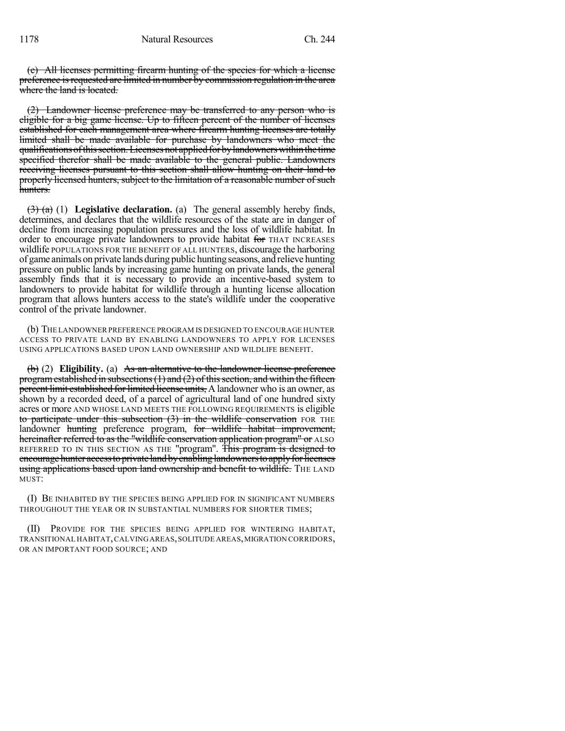(e) All licenses permitting firearm hunting of the species for which a license preference is requested are limited in number by commission regulation in the area where the land is located.

(2) Landowner license preference may be transferred to any person who is eligible for a big game license. Up to fifteen percent of the number of licenses established for each management area where firearm hunting licenses are totally limited shall be made available for purchase by landowners who meet the qualifications of this section. Licenses not applied for by landowners within the time specified therefor shall be made available to the general public. Landowners receiving licenses pursuant to this section shall allow hunting on their land to properly licensed hunters, subject to the limitation of a reasonable number of such hunters.

(3) (a) (1) **Legislative declaration.** (a) The general assembly hereby finds, determines, and declares that the wildlife resources of the state are in danger of decline from increasing population pressures and the loss of wildlife habitat. In order to encourage private landowners to provide habitat for THAT INCREASES wildlife POPULATIONS FOR THE BENEFIT OF ALL HUNTERS, discourage the harboring of game animals on private lands during public hunting seasons, and relieve hunting pressure on public lands by increasing game hunting on private lands, the general assembly finds that it is necessary to provide an incentive-based system to landowners to provide habitat for wildlife through a hunting license allocation program that allows hunters access to the state's wildlife under the cooperative control of the private landowner.

(b) THE LANDOWNERPREFERENCE PROGRAM IS DESIGNED TO ENCOURAGE HUNTER ACCESS TO PRIVATE LAND BY ENABLING LANDOWNERS TO APPLY FOR LICENSES USING APPLICATIONS BASED UPON LAND OWNERSHIP AND WILDLIFE BENEFIT.

(b) (2) **Eligibility.** (a) As an alternative to the landowner license preference program established in subsections  $(1)$  and  $(2)$  of this section, and within the fifteen percent limit established for limited license units, A landowner who is an owner, as shown by a recorded deed, of a parcel of agricultural land of one hundred sixty acres or more AND WHOSE LAND MEETS THE FOLLOWING REQUIREMENTS is eligible to participate under this subsection  $(3)$  in the wildlife conservation FOR THE landowner hunting preference program, for wildlife habitat improvement, hereinafter referred to as the "wildlife conservation application program" or ALSO REFERRED TO IN THIS SECTION AS THE "program". This program is designed to encourage hunter access to private land by enabling landowners to apply for licenses using applications based upon land ownership and benefit to wildlife. THE LAND MUST:

(I) BE INHABITED BY THE SPECIES BEING APPLIED FOR IN SIGNIFICANT NUMBERS THROUGHOUT THE YEAR OR IN SUBSTANTIAL NUMBERS FOR SHORTER TIMES;

(II) PROVIDE FOR THE SPECIES BEING APPLIED FOR WINTERING HABITAT, TRANSITIONAL HABITAT,CALVINGAREAS,SOLITUDE AREAS,MIGRATION CORRIDORS, OR AN IMPORTANT FOOD SOURCE; AND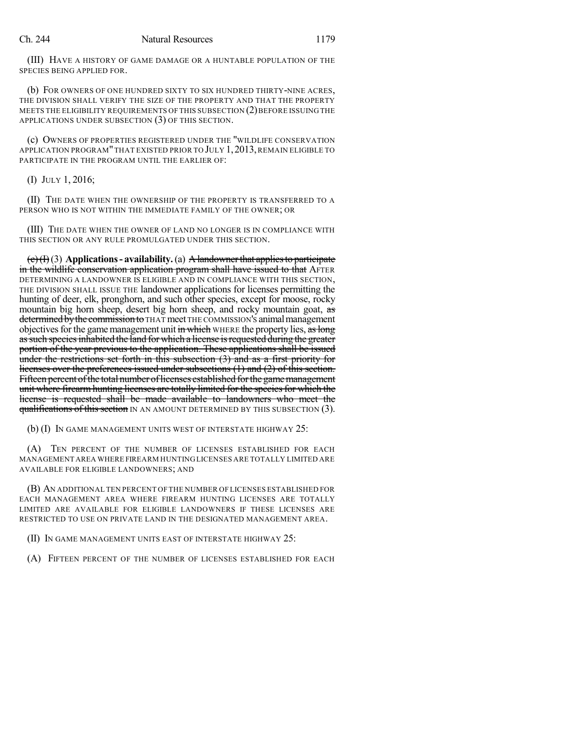(III) HAVE A HISTORY OF GAME DAMAGE OR A HUNTABLE POPULATION OF THE SPECIES BEING APPLIED FOR.

(b) FOR OWNERS OF ONE HUNDRED SIXTY TO SIX HUNDRED THIRTY-NINE ACRES, THE DIVISION SHALL VERIFY THE SIZE OF THE PROPERTY AND THAT THE PROPERTY MEETS THE ELIGIBILITY REQUIREMENTS OF THIS SUBSECTION (2) BEFORE ISSUING THE APPLICATIONS UNDER SUBSECTION (3) OF THIS SECTION.

(c) OWNERS OF PROPERTIES REGISTERED UNDER THE "WILDLIFE CONSERVATION APPLICATION PROGRAM" THAT EXISTED PRIOR TO JULY 1, 2013, REMAIN ELIGIBLE TO PARTICIPATE IN THE PROGRAM UNTIL THE EARLIER OF:

(I) JULY 1, 2016;

(II) THE DATE WHEN THE OWNERSHIP OF THE PROPERTY IS TRANSFERRED TO A PERSON WHO IS NOT WITHIN THE IMMEDIATE FAMILY OF THE OWNER; OR

(III) THE DATE WHEN THE OWNER OF LAND NO LONGER IS IN COMPLIANCE WITH THIS SECTION OR ANY RULE PROMULGATED UNDER THIS SECTION.

(c)(I)(3) **Applications- availability.**(a) Alandownerthat appliesto participate in the wildlife conservation application program shall have issued to that AFTER DETERMINING A LANDOWNER IS ELIGIBLE AND IN COMPLIANCE WITH THIS SECTION, THE DIVISION SHALL ISSUE THE landowner applications for licenses permitting the hunting of deer, elk, pronghorn, and such other species, except for moose, rocky mountain big horn sheep, desert big horn sheep, and rocky mountain goat, as determined by the commission to THAT meet THE COMMISSION's animal management objectives for the game management unit in which WHERE the property lies, as long as such species inhabited the land for which a license is requested during the greater portion of the year previous to the application. These applications shall be issued under the restrictions set forth in this subsection (3) and as a first priority for licenses over the preferences issued under subsections (1) and (2) of this section. Fifteen percent of the total number of licenses established for the game management unit where firearm hunting licenses are totally limited for the species for which the license is requested shall be made available to landowners who meet the **qualifications of this section** IN AN AMOUNT DETERMINED BY THIS SUBSECTION (3).

(b) (I) IN GAME MANAGEMENT UNITS WEST OF INTERSTATE HIGHWAY 25:

(A) TEN PERCENT OF THE NUMBER OF LICENSES ESTABLISHED FOR EACH MANAGEMENT AREA WHERE FIREARM HUNTING LICENSES ARE TOTALLY LIMITED ARE AVAILABLE FOR ELIGIBLE LANDOWNERS; AND

(B) AN ADDITIONAL TEN PERCENT OF THE NUMBER OF LICENSES ESTABLISHED FOR EACH MANAGEMENT AREA WHERE FIREARM HUNTING LICENSES ARE TOTALLY LIMITED ARE AVAILABLE FOR ELIGIBLE LANDOWNERS IF THESE LICENSES ARE RESTRICTED TO USE ON PRIVATE LAND IN THE DESIGNATED MANAGEMENT AREA.

(II) IN GAME MANAGEMENT UNITS EAST OF INTERSTATE HIGHWAY 25:

(A) FIFTEEN PERCENT OF THE NUMBER OF LICENSES ESTABLISHED FOR EACH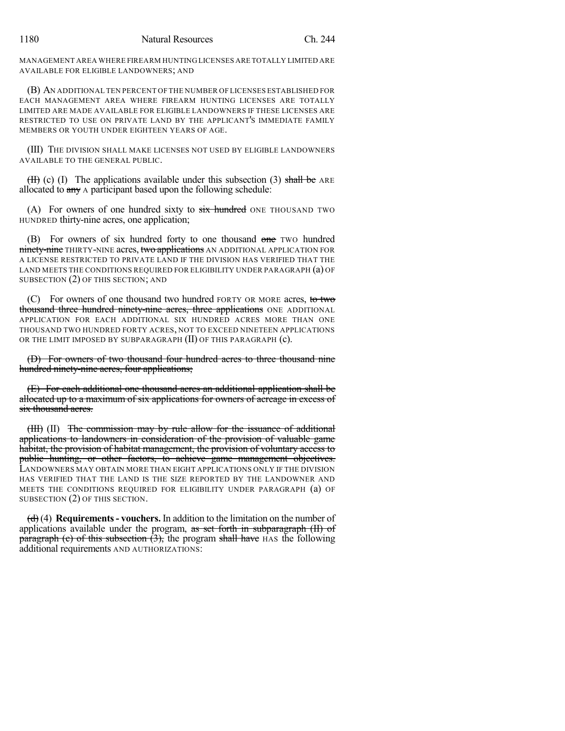MANAGEMENT AREA WHERE FIREARM HUNTING LICENSES ARE TOTALLY LIMITED ARE AVAILABLE FOR ELIGIBLE LANDOWNERS; AND

(B) AN ADDITIONAL TEN PERCENT OF THE NUMBER OF LICENSES ESTABLISHED FOR EACH MANAGEMENT AREA WHERE FIREARM HUNTING LICENSES ARE TOTALLY LIMITED ARE MADE AVAILABLE FOR ELIGIBLE LANDOWNERS IF THESE LICENSES ARE RESTRICTED TO USE ON PRIVATE LAND BY THE APPLICANT'S IMMEDIATE FAMILY MEMBERS OR YOUTH UNDER EIGHTEEN YEARS OF AGE.

(III) THE DIVISION SHALL MAKE LICENSES NOT USED BY ELIGIBLE LANDOWNERS AVAILABLE TO THE GENERAL PUBLIC.

 $(H)$  (c) (I) The applications available under this subsection (3) shall be ARE allocated to  $\frac{any}{ay}$  A participant based upon the following schedule:

(A) For owners of one hundred sixty to six hundred ONE THOUSAND TWO HUNDRED thirty-nine acres, one application;

(B) For owners of six hundred forty to one thousand one two hundred ninety-nine THIRTY-NINE acres, two applications AN ADDITIONAL APPLICATION FOR A LICENSE RESTRICTED TO PRIVATE LAND IF THE DIVISION HAS VERIFIED THAT THE LAND MEETS THE CONDITIONS REQUIRED FOR ELIGIBILITY UNDER PARAGRAPH (a) OF SUBSECTION (2) OF THIS SECTION; AND

For owners of one thousand two hundred FORTY OR MORE acres, to two thousand three hundred ninety-nine acres, three applications ONE ADDITIONAL APPLICATION FOR EACH ADDITIONAL SIX HUNDRED ACRES MORE THAN ONE THOUSAND TWO HUNDRED FORTY ACRES, NOT TO EXCEED NINETEEN APPLICATIONS OR THE LIMIT IMPOSED BY SUBPARAGRAPH (II) OF THIS PARAGRAPH (c).

(D) For owners of two thousand four hundred acres to three thousand nine hundred ninety-nine acres, four applications;

(E) For each additional one thousand acres an additional application shall be allocated up to a maximum of six applications for owners of acreage in excess of six thousand acres.

(III) (II) The commission may by rule allow for the issuance of additional applications to landowners in consideration of the provision of valuable game habitat, the provision of habitat management, the provision of voluntary access to public hunting, or other factors, to achieve game management objectives. LANDOWNERS MAY OBTAIN MORE THAN EIGHT APPLICATIONS ONLY IF THE DIVISION HAS VERIFIED THAT THE LAND IS THE SIZE REPORTED BY THE LANDOWNER AND MEETS THE CONDITIONS REQUIRED FOR ELIGIBILITY UNDER PARAGRAPH (a) OF SUBSECTION (2) OF THIS SECTION.

(d) (4) **Requirements- vouchers.** In addition to the limitation on the number of applications available under the program,  $\frac{1}{x}$  set forth in subparagraph (II) of paragraph (c) of this subsection  $(3)$ , the program shall have HAS the following additional requirements AND AUTHORIZATIONS: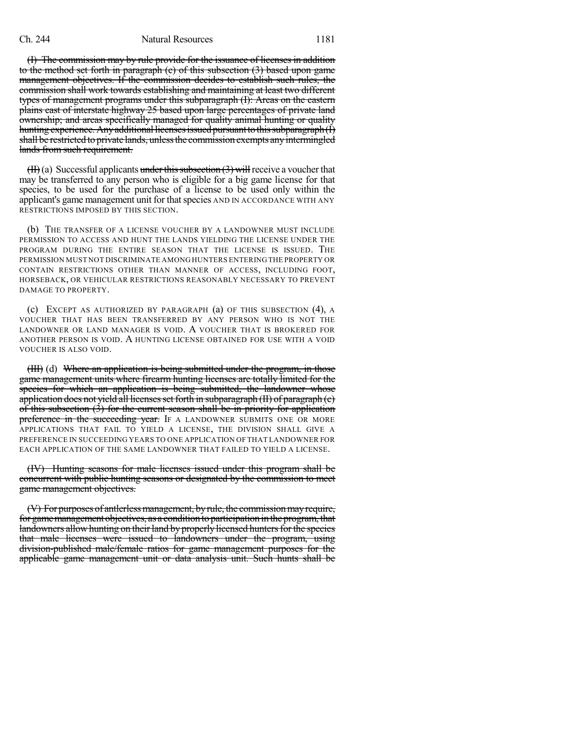## Ch. 244 Natural Resources 1181

(I) The commission may by rule provide for the issuance of licenses in addition to the method set forth in paragraph (c) of this subsection (3) based upon game management objectives. If the commission decides to establish such rules, the commission shall work towards establishing and maintaining at least two different types of management programs under this subparagraph (I): Areas on the eastern plains east of interstate highway 25 based upon large percentages of private land ownership; and areas specifically managed for quality animal hunting or quality hunting experience. Any additional licenses issued pursuant to this subparagraph(I) shall be restricted to private lands, unless the commission exempts any intermingled lands from such requirement.

 $(H)$  (a) Successful applicants under this subsection (3) will receive a voucher that may be transferred to any person who is eligible for a big game license for that species, to be used for the purchase of a license to be used only within the applicant's game management unit for that species AND IN ACCORDANCE WITH ANY RESTRICTIONS IMPOSED BY THIS SECTION.

(b) THE TRANSFER OF A LICENSE VOUCHER BY A LANDOWNER MUST INCLUDE PERMISSION TO ACCESS AND HUNT THE LANDS YIELDING THE LICENSE UNDER THE PROGRAM DURING THE ENTIRE SEASON THAT THE LICENSE IS ISSUED. THE PERMISSION MUST NOT DISCRIMINATE AMONG HUNTERS ENTERING THE PROPERTY OR CONTAIN RESTRICTIONS OTHER THAN MANNER OF ACCESS, INCLUDING FOOT, HORSEBACK, OR VEHICULAR RESTRICTIONS REASONABLY NECESSARY TO PREVENT DAMAGE TO PROPERTY.

(c) EXCEPT AS AUTHORIZED BY PARAGRAPH (a) OF THIS SUBSECTION (4), A VOUCHER THAT HAS BEEN TRANSFERRED BY ANY PERSON WHO IS NOT THE LANDOWNER OR LAND MANAGER IS VOID. A VOUCHER THAT IS BROKERED FOR ANOTHER PERSON IS VOID. A HUNTING LICENSE OBTAINED FOR USE WITH A VOID VOUCHER IS ALSO VOID.

(III) (d) Where an application is being submitted under the program, in those game management units where firearm hunting licenses are totally limited for the species for which an application is being submitted, the landowner whose application does not yield all licenses set forth in subparagraph  $(H)$  of paragraph  $(c)$ of this subsection (3) for the current season shall be in priority for application preference in the succeeding year. IF A LANDOWNER SUBMITS ONE OR MORE APPLICATIONS THAT FAIL TO YIELD A LICENSE, THE DIVISION SHALL GIVE A PREFERENCE IN SUCCEEDING YEARS TO ONE APPLICATION OF THAT LANDOWNER FOR EACH APPLICATION OF THE SAME LANDOWNER THAT FAILED TO YIELD A LICENSE.

(IV) Hunting seasons for male licenses issued under this program shall be concurrent with public hunting seasons or designated by the commission to meet game management objectives.

(V) For purposes of antlerless management, by rule, the commission may require, for game management objectives, as a condition to participation in the program, that landowners allow hunting on their land by properly licensed hunters for the species that male licenses were issued to landowners under the program, using division-published male/female ratios for game management purposes for the applicable game management unit or data analysis unit. Such hunts shall be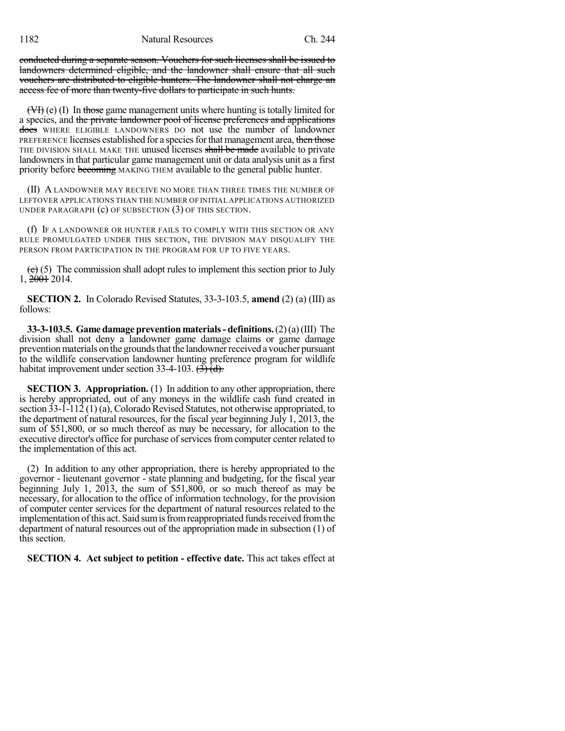conducted during a separate season. Vouchers for such licenses shall be issued to landowners determined eligible, and the landowner shall ensure that all such vouchers are distributed to eligible hunters. The landowner shall not charge an access fee of more than twenty-five dollars to participate in such hunts.

(VI) (e) (I) In those game management units where hunting is totally limited for a species, and the private landowner pool of license preferences and applications does WHERE ELIGIBLE LANDOWNERS DO not use the number of landowner PREFERENCE licenses established for a species for that management area, then those THE DIVISION SHALL MAKE THE unused licenses shall be made available to private landowners in that particular game management unit or data analysis unit as a first priority before becoming MAKING THEM available to the general public hunter.

(II) A LANDOWNER MAY RECEIVE NO MORE THAN THREE TIMES THE NUMBER OF LEFTOVER APPLICATIONS THAN THE NUMBER OF INITIAL APPLICATIONS AUTHORIZED UNDER PARAGRAPH (c) OF SUBSECTION (3) OF THIS SECTION.

(f) IF A LANDOWNER OR HUNTER FAILS TO COMPLY WITH THIS SECTION OR ANY RULE PROMULGATED UNDER THIS SECTION, THE DIVISION MAY DISQUALIFY THE PERSON FROM PARTICIPATION IN THE PROGRAM FOR UP TO FIVE YEARS.

 $(e)$  (5) The commission shall adopt rules to implement this section prior to July 1, 2001 2014.

**SECTION 2.** In Colorado Revised Statutes, 33-3-103.5, **amend** (2) (a) (III) as follows:

**33-3-103.5. Game damage prevention materials- definitions.**(2)(a)(III) The division shall not deny a landowner game damage claims or game damage prevention materials on the grounds that the landowner received a voucher pursuant to the wildlife conservation landowner hunting preference program for wildlife habitat improvement under section 33-4-103.  $(\overrightarrow{3})$   $(\overrightarrow{d})$ .

**SECTION 3. Appropriation.** (1) In addition to any other appropriation, there is hereby appropriated, out of any moneys in the wildlife cash fund created in section 33-1-112 (1) (a), Colorado Revised Statutes, not otherwise appropriated, to the department of natural resources, for the fiscal year beginning July 1, 2013, the sum of \$51,800, or so much thereof as may be necessary, for allocation to the executive director's office for purchase of services from computer center related to the implementation of this act.

(2) In addition to any other appropriation, there is hereby appropriated to the governor - lieutenant governor - state planning and budgeting, for the fiscal year beginning July 1, 2013, the sum of \$51,800, or so much thereof as may be necessary, for allocation to the office of information technology, for the provision of computer center services for the department of natural resources related to the implementation of this act. Said sum is from reappropriated funds received from the department of natural resources out of the appropriation made in subsection (1) of this section.

**SECTION 4. Act subject to petition - effective date.** This act takes effect at